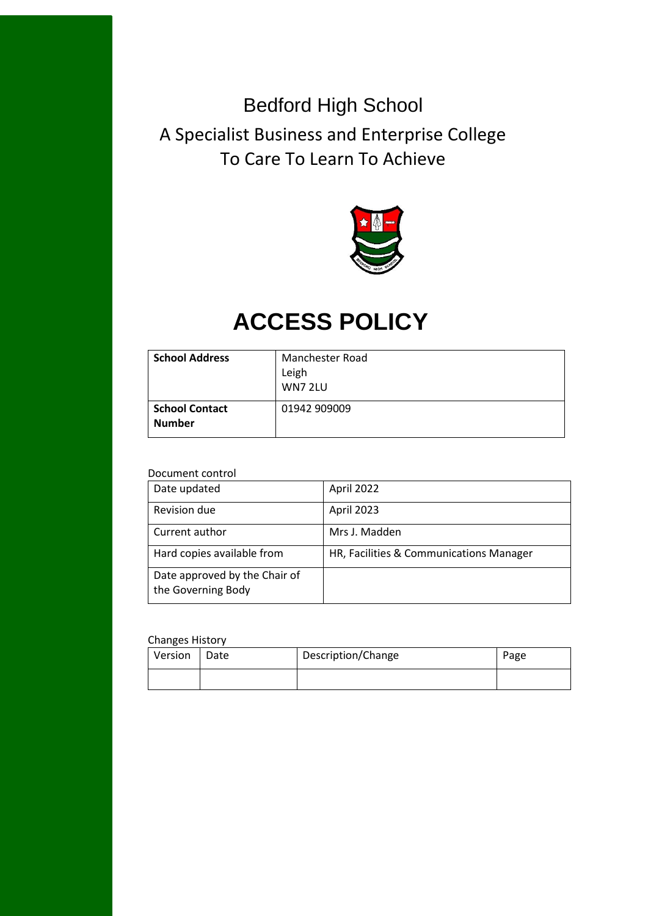## Bedford High School

A Specialist Business and Enterprise College To Care To Learn To Achieve



# **ACCESS POLICY**

| <b>School Address</b>                  | <b>Manchester Road</b><br>Leigh<br>WN7 2LU |
|----------------------------------------|--------------------------------------------|
| <b>School Contact</b><br><b>Number</b> | 01942 909009                               |

#### Document control

| Date updated                                        | April 2022                              |
|-----------------------------------------------------|-----------------------------------------|
| Revision due                                        | April 2023                              |
| Current author                                      | Mrs J. Madden                           |
| Hard copies available from                          | HR, Facilities & Communications Manager |
| Date approved by the Chair of<br>the Governing Body |                                         |

#### Changes History

| Version | Date | Description/Change | Page |
|---------|------|--------------------|------|
|         |      |                    |      |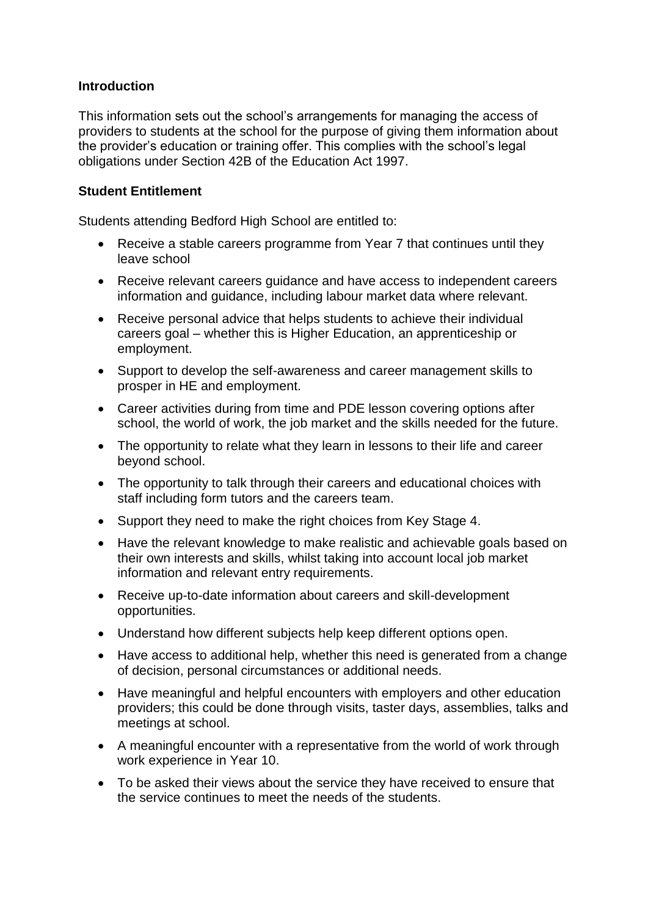#### **Introduction**

This information sets out the school's arrangements for managing the access of providers to students at the school for the purpose of giving them information about the provider's education or training offer. This complies with the school's legal obligations under Section 42B of the Education Act 1997.

#### **Student Entitlement**

Students attending Bedford High School are entitled to:

- Receive a stable careers programme from Year 7 that continues until they leave school
- Receive relevant careers guidance and have access to independent careers information and guidance, including labour market data where relevant.
- Receive personal advice that helps students to achieve their individual careers goal – whether this is Higher Education, an apprenticeship or employment.
- Support to develop the self-awareness and career management skills to prosper in HE and employment.
- Career activities during from time and PDE lesson covering options after school, the world of work, the job market and the skills needed for the future.
- The opportunity to relate what they learn in lessons to their life and career beyond school.
- The opportunity to talk through their careers and educational choices with staff including form tutors and the careers team.
- Support they need to make the right choices from Key Stage 4.
- Have the relevant knowledge to make realistic and achievable goals based on their own interests and skills, whilst taking into account local job market information and relevant entry requirements.
- Receive up-to-date information about careers and skill-development opportunities.
- Understand how different subjects help keep different options open.
- Have access to additional help, whether this need is generated from a change of decision, personal circumstances or additional needs.
- Have meaningful and helpful encounters with employers and other education providers; this could be done through visits, taster days, assemblies, talks and meetings at school.
- A meaningful encounter with a representative from the world of work through work experience in Year 10.
- To be asked their views about the service they have received to ensure that the service continues to meet the needs of the students.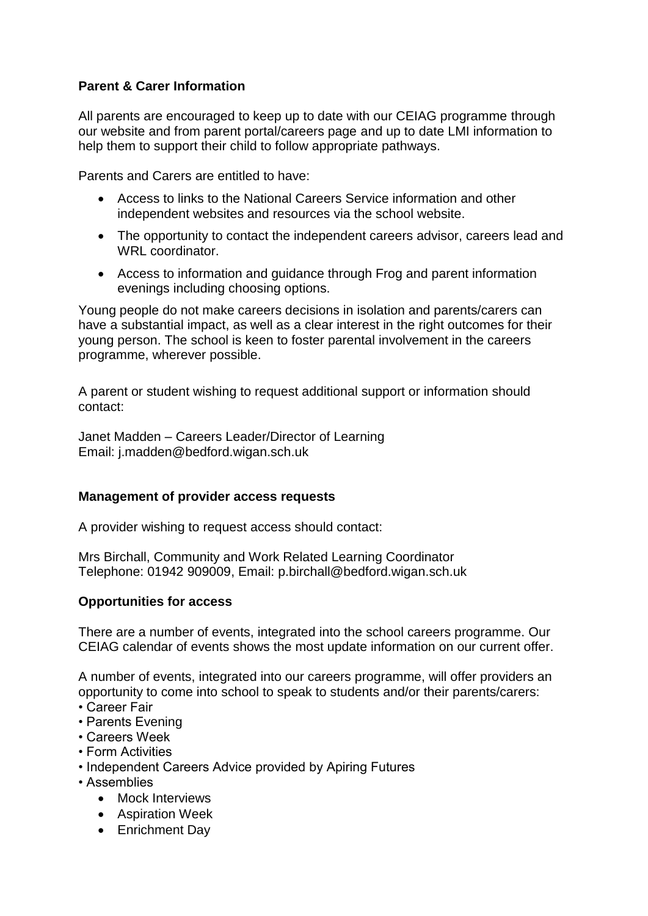## **Parent & Carer Information**

All parents are encouraged to keep up to date with our CEIAG programme through our website and from parent portal/careers page and up to date LMI information to help them to support their child to follow appropriate pathways.

Parents and Carers are entitled to have:

- Access to links to the National Careers Service information and other independent websites and resources via the school website.
- The opportunity to contact the independent careers advisor, careers lead and WRL coordinator.
- Access to information and guidance through Frog and parent information evenings including choosing options.

Young people do not make careers decisions in isolation and parents/carers can have a substantial impact, as well as a clear interest in the right outcomes for their young person. The school is keen to foster parental involvement in the careers programme, wherever possible.

A parent or student wishing to request additional support or information should contact:

Janet Madden – Careers Leader/Director of Learning Email: j.madden@bedford.wigan.sch.uk

#### **Management of provider access requests**

A provider wishing to request access should contact:

Mrs Birchall, Community and Work Related Learning Coordinator Telephone: 01942 909009, Email: p.birchall@bedford.wigan.sch.uk

#### **Opportunities for access**

There are a number of events, integrated into the school careers programme. Our CEIAG calendar of events shows the most update information on our current offer.

A number of events, integrated into our careers programme, will offer providers an opportunity to come into school to speak to students and/or their parents/carers:

- Career Fair
- Parents Evening
- Careers Week
- Form Activities
- Independent Careers Advice provided by Apiring Futures
- Assemblies
	- Mock Interviews
	- Aspiration Week
	- Enrichment Day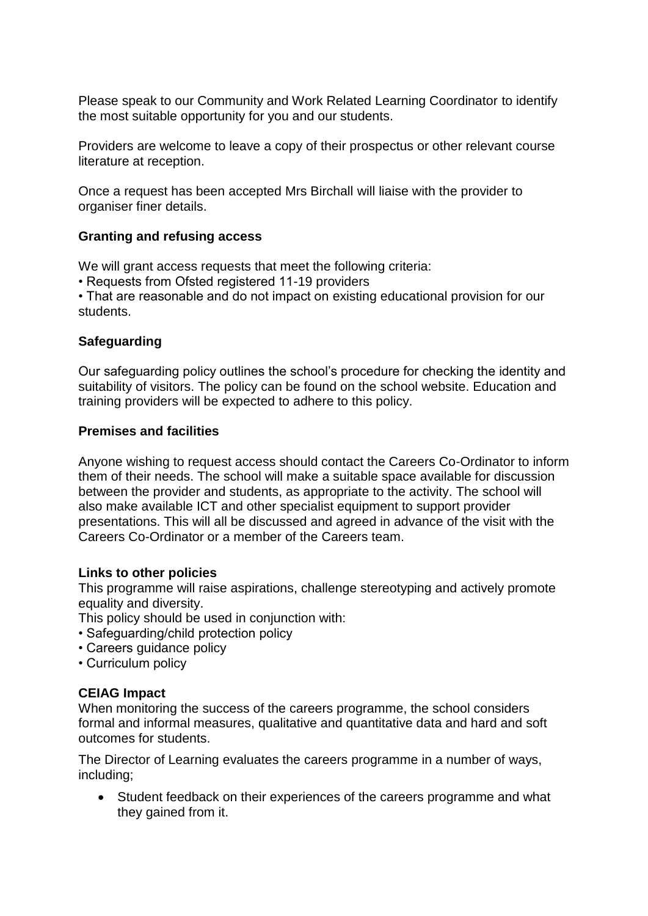Please speak to our Community and Work Related Learning Coordinator to identify the most suitable opportunity for you and our students.

Providers are welcome to leave a copy of their prospectus or other relevant course literature at reception.

Once a request has been accepted Mrs Birchall will liaise with the provider to organiser finer details.

#### **Granting and refusing access**

We will grant access requests that meet the following criteria:

• Requests from Ofsted registered 11-19 providers

• That are reasonable and do not impact on existing educational provision for our students.

#### **Safeguarding**

Our safeguarding policy outlines the school's procedure for checking the identity and suitability of visitors. The policy can be found on the school website. Education and training providers will be expected to adhere to this policy.

#### **Premises and facilities**

Anyone wishing to request access should contact the Careers Co-Ordinator to inform them of their needs. The school will make a suitable space available for discussion between the provider and students, as appropriate to the activity. The school will also make available ICT and other specialist equipment to support provider presentations. This will all be discussed and agreed in advance of the visit with the Careers Co-Ordinator or a member of the Careers team.

#### **Links to other policies**

This programme will raise aspirations, challenge stereotyping and actively promote equality and diversity.

This policy should be used in conjunction with:

- Safeguarding/child protection policy
- Careers guidance policy
- Curriculum policy

#### **CEIAG Impact**

When monitoring the success of the careers programme, the school considers formal and informal measures, qualitative and quantitative data and hard and soft outcomes for students.

The Director of Learning evaluates the careers programme in a number of ways, including;

• Student feedback on their experiences of the careers programme and what they gained from it.